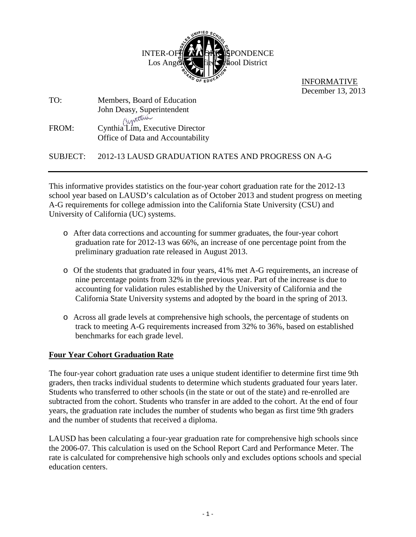

 INFORMATIVE December 13, 2013

| TO:   | Members, Board of Education                                          |  |  |
|-------|----------------------------------------------------------------------|--|--|
|       | John Deasy, Superintendent                                           |  |  |
| FROM: | Cynthia Lim, Executive Director<br>Office of Data and Accountability |  |  |

SUBJECT: 2012-13 LAUSD GRADUATION RATES AND PROGRESS ON A-G

This informative provides statistics on the four-year cohort graduation rate for the 2012-13 school year based on LAUSD's calculation as of October 2013 and student progress on meeting A-G requirements for college admission into the California State University (CSU) and University of California (UC) systems.

- o After data corrections and accounting for summer graduates, the four-year cohort graduation rate for 2012-13 was 66%, an increase of one percentage point from the preliminary graduation rate released in August 2013.
- o Of the students that graduated in four years, 41% met A-G requirements, an increase of nine percentage points from 32% in the previous year. Part of the increase is due to accounting for validation rules established by the University of California and the California State University systems and adopted by the board in the spring of 2013.
- o Across all grade levels at comprehensive high schools, the percentage of students on track to meeting A-G requirements increased from 32% to 36%, based on established benchmarks for each grade level.

## **Four Year Cohort Graduation Rate**

The four-year cohort graduation rate uses a unique student identifier to determine first time 9th graders, then tracks individual students to determine which students graduated four years later. Students who transferred to other schools (in the state or out of the state) and re-enrolled are subtracted from the cohort. Students who transfer in are added to the cohort. At the end of four years, the graduation rate includes the number of students who began as first time 9th graders and the number of students that received a diploma.

LAUSD has been calculating a four-year graduation rate for comprehensive high schools since the 2006-07. This calculation is used on the School Report Card and Performance Meter. The rate is calculated for comprehensive high schools only and excludes options schools and special education centers.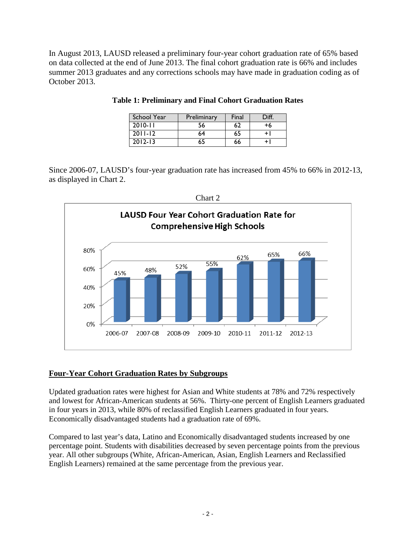In August 2013, LAUSD released a preliminary four-year cohort graduation rate of 65% based on data collected at the end of June 2013. The final cohort graduation rate is 66% and includes summer 2013 graduates and any corrections schools may have made in graduation coding as of October 2013.

| <b>School Year</b> | Preliminary | Final | Diff. |
|--------------------|-------------|-------|-------|
| $2010 - 11$        | 56          |       | +6    |
| $2011 - 12$        | 64          | 65    |       |
| $2012 - 13$        | 65          | 66    |       |

**Table 1: Preliminary and Final Cohort Graduation Rates**

Since 2006-07, LAUSD's four-year graduation rate has increased from 45% to 66% in 2012-13, as displayed in Chart 2.



## **Four-Year Cohort Graduation Rates by Subgroups**

Updated graduation rates were highest for Asian and White students at 78% and 72% respectively and lowest for African-American students at 56%. Thirty-one percent of English Learners graduated in four years in 2013, while 80% of reclassified English Learners graduated in four years. Economically disadvantaged students had a graduation rate of 69%.

Compared to last year's data, Latino and Economically disadvantaged students increased by one percentage point. Students with disabilities decreased by seven percentage points from the previous year. All other subgroups (White, African-American, Asian, English Learners and Reclassified English Learners) remained at the same percentage from the previous year.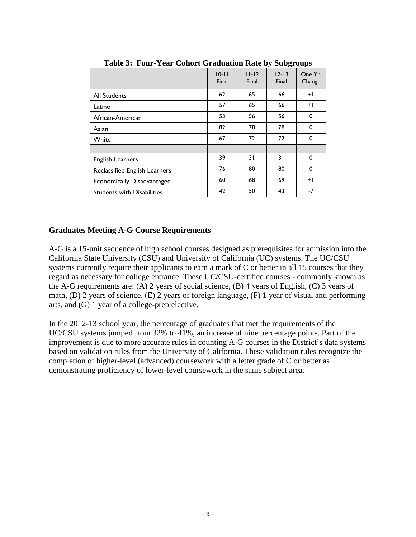|                                   | $10 - 11$<br>Final | $11 - 12$<br>Final | $12 - 13$<br>Final | One Yr.<br>Change |
|-----------------------------------|--------------------|--------------------|--------------------|-------------------|
| <b>All Students</b>               | 62                 | 65                 | 66                 | $+1$              |
| Latino                            | 57                 | 65                 | 66                 | $+1$              |
| African-American                  | 53                 | 56                 | 56                 | 0                 |
| Asian                             | 82                 | 78                 | 78                 | $\mathbf 0$       |
| White                             | 67                 | 72                 | 72                 | 0                 |
|                                   |                    |                    |                    |                   |
| <b>English Learners</b>           | 39                 | 31                 | 31                 | $\mathbf 0$       |
| Reclassified English Learners     | 76                 | 80                 | 80                 | 0                 |
| Economically Disadvantaged        | 60                 | 68                 | 69                 | $+1$              |
| <b>Students with Disabilities</b> | 42                 | 50                 | 43                 | $-7$              |

**Table 3: Four-Year Cohort Graduation Rate by Subgroups**

## **Graduates Meeting A-G Course Requirements**

A-G is a 15-unit sequence of high school courses designed as prerequisites for admission into the California State University (CSU) and University of California (UC) systems. The UC/CSU systems currently require their applicants to earn a mark of C or better in all 15 courses that they regard as necessary for college entrance. These UC/CSU-certified courses - commonly known as the A-G requirements are: (A) 2 years of social science, (B) 4 years of English, (C) 3 years of math, (D) 2 years of science, (E) 2 years of foreign language, (F) 1 year of visual and performing arts, and (G) 1 year of a college-prep elective.

In the 2012-13 school year, the percentage of graduates that met the requirements of the UC/CSU systems jumped from 32% to 41%, an increase of nine percentage points. Part of the improvement is due to more accurate rules in counting A-G courses in the District's data systems based on validation rules from the University of California. These validation rules recognize the completion of higher-level (advanced) coursework with a letter grade of C or better as demonstrating proficiency of lower-level coursework in the same subject area.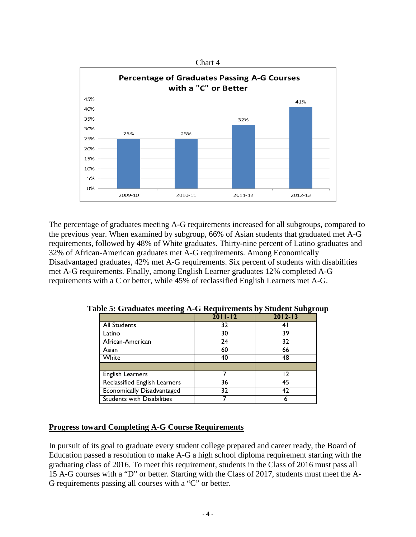

The percentage of graduates meeting A-G requirements increased for all subgroups, compared to the previous year. When examined by subgroup, 66% of Asian students that graduated met A-G requirements, followed by 48% of White graduates. Thirty-nine percent of Latino graduates and 32% of African-American graduates met A-G requirements. Among Economically Disadvantaged graduates, 42% met A-G requirements. Six percent of students with disabilities met A-G requirements. Finally, among English Learner graduates 12% completed A-G requirements with a C or better, while 45% of reclassified English Learners met A-G.

|                                   | $2011 - 12$ | $2012 - 13$ |
|-----------------------------------|-------------|-------------|
| <b>All Students</b>               | 32          | 4           |
| Latino                            | 30          | 39          |
| African-American                  | 24          | 32          |
| Asian                             | 60          | 66          |
| White                             | 40          | 48          |
|                                   |             |             |
| <b>English Learners</b>           |             |             |
| Reclassified English Learners     | 36          | 45          |
| Economically Disadvantaged        | 32          | 42          |
| <b>Students with Disabilities</b> |             | 6           |

**Table 5: Graduates meeting A-G Requirements by Student Subgroup**

## **Progress toward Completing A-G Course Requirements**

In pursuit of its goal to graduate every student college prepared and career ready, the Board of Education passed a resolution to make A-G a high school diploma requirement starting with the graduating class of 2016. To meet this requirement, students in the Class of 2016 must pass all 15 A-G courses with a "D" or better. Starting with the Class of 2017, students must meet the A-G requirements passing all courses with a "C" or better.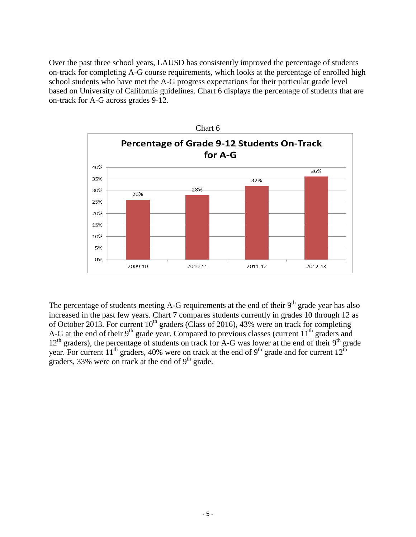Over the past three school years, LAUSD has consistently improved the percentage of students on-track for completing A-G course requirements, which looks at the percentage of enrolled high school students who have met the A-G progress expectations for their particular grade level based on University of California guidelines. Chart 6 displays the percentage of students that are on-track for A-G across grades 9-12.



The percentage of students meeting A-G requirements at the end of their  $9<sup>th</sup>$  grade year has also increased in the past few years. Chart 7 compares students currently in grades 10 through 12 as of October 2013. For current  $10^{th}$  graders (Class of 2016), 43% were on track for completing A-G at the end of their  $9<sup>th</sup>$  grade year. Compared to previous classes (current  $11<sup>th</sup>$  graders and  $12<sup>th</sup>$  graders), the percentage of students on track for A-G was lower at the end of their  $9<sup>th</sup>$  grade year. For current  $11<sup>th</sup>$  graders, 40% were on track at the end of 9<sup>th</sup> grade and for current  $12<sup>th</sup>$ graders, 33% were on track at the end of  $9<sup>th</sup>$  grade.